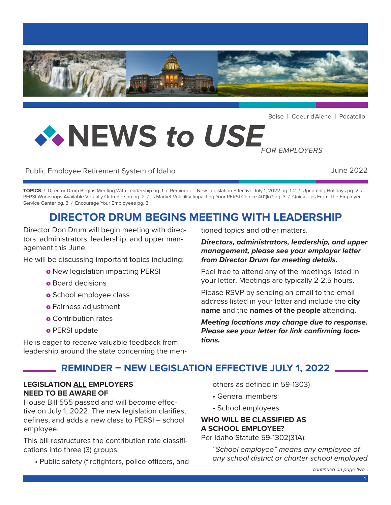

Boise | Coeur d'Alene | Pocatello

# **NEWS** *to USE FOR EMPLOYERS*

Public Employee Retirement System of Idaho June 2022

**TOPICS** / Director Drum Begins Meeting With Leadership pg. 1 / Reminder – New Legislation Effective July 1, 2022 pg. 1-2 / Upcoming Holidays pg. 2 / PERSI Workshops Available Virtually Or In-Person pg. 2 / Is Market Volatility Impacting Your PERSI Choice 401(k)? pg. 3 / Quick Tips From The Employer Service Center pg. 3 / Encourage Your Employees pg. 3

## **DIRECTOR DRUM BEGINS MEETING WITH LEADERSHIP**

Director Don Drum will begin meeting with directors, administrators, leadership, and upper management this June.

He will be discussing important topics including:

- o New legislation impacting PERSI
- **o** Board decisions
- o School employee class
- o Fairness adjustment
- o Contribution rates
- o PERSI update

tioned topics and other matters.

## *Directors, administrators, leadership, and upper management, please see your employer letter from Director Drum for meeting details.*

Feel free to attend any of the meetings listed in your letter. Meetings are typically 2-2.5 hours.

Please RSVP by sending an email to the email address listed in your letter and include the **city name** and the **names of the people** attending.

*Meeting locations may change due to response. Please see your letter for link confirming locations.* 

He is eager to receive valuable feedback from leadership around the state concerning the men-

## **REMINDER – NEW LEGISLATION EFFECTIVE JULY 1, 2022**

## **LEGISLATION ALL EMPLOYERS NEED TO BE AWARE OF**

House Bill 555 passed and will become effective on July 1, 2022. The new legislation clarifies, defines, and adds a new class to PERSI – school employee.

This bill restructures the contribution rate classifications into three (3) groups:

• Public safety (firefighters, police officers, and

others as defined in 59-1303)

- General members
- School employees

## **WHO WILL BE CLASSIFIED AS A SCHOOL EMPLOYEE?**

Per Idaho Statute 59-1302(31A):

*"School employee" means any employee of any school district or charter school employed*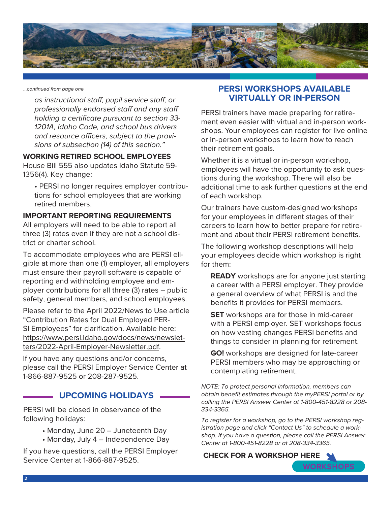

*...continued from page one*

*as instructional staff, pupil service staff, or professionally endorsed staff and any staff holding a certificate pursuant to section 33- 1201A, Idaho Code, and school bus drivers and resource officers, subject to the provisions of subsection (14) of this section."*

#### **WORKING RETIRED SCHOOL EMPLOYEES**

House Bill 555 also updates Idaho Statute 59- 1356(4). Key change:

• PERSI no longer requires employer contributions for school employees that are working retired members.

## **IMPORTANT REPORTING REQUIREMENTS**

All employers will need to be able to report all three (3) rates even if they are not a school district or charter school.

To accommodate employees who are PERSI eligible at more than one (1) employer, all employers must ensure their payroll software is capable of reporting and withholding employee and employer contributions for all three (3) rates – public safety, general members, and school employees.

Please refer to the April 2022/News to Use article "Contribution Rates for Dual Employed PER-SI Employees" for clarification. Available here: [https://www.persi.idaho.gov/docs/news/newslet](https://www.persi.idaho.gov/docs/news/newsletters/2022-April-Employer-Newsletter.pdf)[ters/2022-April-Employer-Newsletter.pdf](https://www.persi.idaho.gov/docs/news/newsletters/2022-April-Employer-Newsletter.pdf).

If you have any questions and/or concerns, please call the PERSI Employer Service Center at 1-866-887-9525 or 208-287-9525.

## **UPCOMING HOLIDAYS**

PERSI will be closed in observance of the following holidays:

- Monday, June 20 Juneteenth Day
- Monday, July 4 Independence Day

If you have questions, call the PERSI Employer Service Center at 1-866-887-9525.

## **PERSI WORKSHOPS AVAILABLE VIRTUALLY OR IN-PERSON**

PERSI trainers have made preparing for retirement even easier with virtual and in-person workshops. Your employees can register for live online or in-person workshops to learn how to reach their retirement goals.

Whether it is a virtual or in-person workshop, employees will have the opportunity to ask questions during the workshop. There will also be additional time to ask further questions at the end of each workshop.

Our trainers have custom-designed workshops for your employees in different stages of their careers to learn how to better prepare for retirement and about their PERSI retirement benefits.

The following workshop descriptions will help your employees decide which workshop is right for them:

**READY** workshops are for anyone just starting a career with a PERSI employer. They provide a general overview of what PERSI is and the benefits it provides for PERSI members.

**SET** workshops are for those in mid-career with a PERSI employer. SET workshops focus on how vesting changes PERSI benefits and things to consider in planning for retirement.

**GO!** workshops are designed for late-career PERSI members who may be approaching or contemplating retirement.

*NOTE: To protect personal information, members can obtain benefit estimates through the myPERSI portal or by calling the PERSI Answer Center at 1-800-451-8228 or 208- 334-3365.* 

*To register for a workshop, go to the PERSI workshop registration page and click "Contact Us" to schedule a workshop. If you have a question, please call the PERSI Answer Center at 1-800-451-8228 or at 208-334-3365.*

#### **[CHECK FOR A WORKSHOP HERE](https://www.persi.idaho.gov/education/workshop-schedule/)**